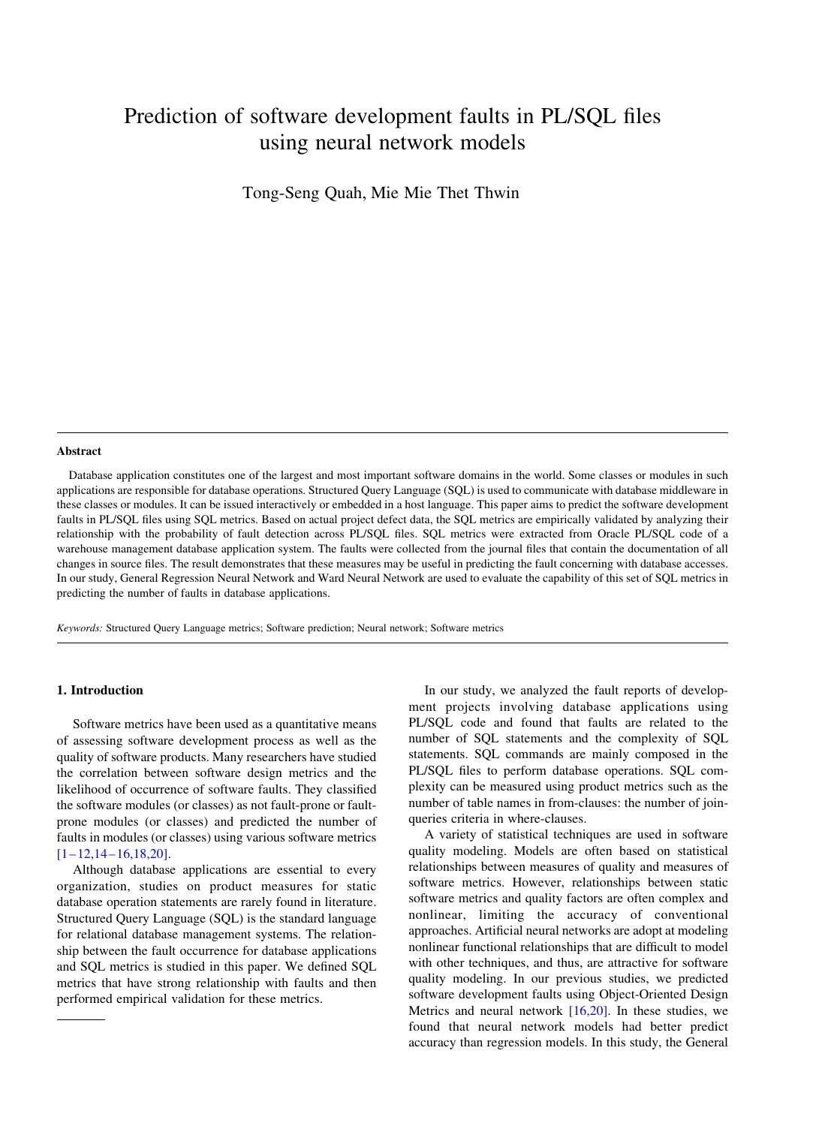# Prediction of software development faults in PL/SQL files using neural network models

Tong-Seng Quah, Mie Mie Thet Thwin

## Abstract

Database application constitutes one of the largest and most important software domains in the world. Some classes or modules in such applications are responsible for database operations. Structured Query Language (SQL) is used to communicate with database middleware in these classes or modules. It can be issued interactively or embedded in a host language. This paper aims to predict the software development faults in PL/SQL files using SQL metrics. Based on actual project defect data, the SQL metrics are empirically validated by analyzing their relationship with the probability of fault detection across PL/SQL files. SQL metrics were extracted from Oracle PL/SQL code of a warehouse management database application system. The faults were collected from the journal files that contain the documentation of all changes in source files. The result demonstrates that these measures may be useful in predicting the fault concerning with database accesses. In our study, General Regression Neural Network and Ward Neural Network are used to evaluate the capability of this set of SQL metrics in predicting the number of faults in database applications.

Keywords: Structured Query Language metrics; Software prediction; Neural network; Software metrics

## 1. Introduction

Software metrics have been used as a quantitative means of assessing software development process as well as the quality of software products. Many researchers have studied the correlation between software design metrics and the likelihood of occurrence of software faults. They classified the software modules (or classes) as not fault-prone or faultprone modules (or classes) and predicted the number of faults in modules (or classes) using various software metrics  $[1–12,14–16,18,20]$ .

Although database applications are essential to every organization, studies on product measures for static database operation statements are rarely found in literature. Structured Query Language (SQL) is the standard language for relational database management systems. The relationship between the fault occurrence for database applications and SQL metrics is studied in this paper. We defined SQL metrics that have strong relationship with faults and then performed empirical validation for these metrics.

In our study, we analyzed the fault reports of development projects involving database applications using PL/SQL code and found that faults are related to the number of SQL statements and the complexity of SQL statements. SQL commands are mainly composed in the PL/SQL files to perform database operations. SQL complexity can be measured using product metrics such as the number of table names in from-clauses: the number of joinqueries criteria in where-clauses.

A variety of statistical techniques are used in software quality modeling. Models are often based on statistical relationships between measures of quality and measures of software metrics. However, relationships between static software metrics and quality factors are often complex and nonlinear, limiting the accuracy of conventional approaches. Artificial neural networks are adopt at modeling nonlinear functional relationships that are difficult to model with other techniques, and thus, are attractive for software quality modeling. In our previous studies, we predicted software development faults using Object-Oriented Design Metrics and neural network  $[16,20]$ . In these studies, we found that neural network models had better predict accuracy than regression models. In this study, the General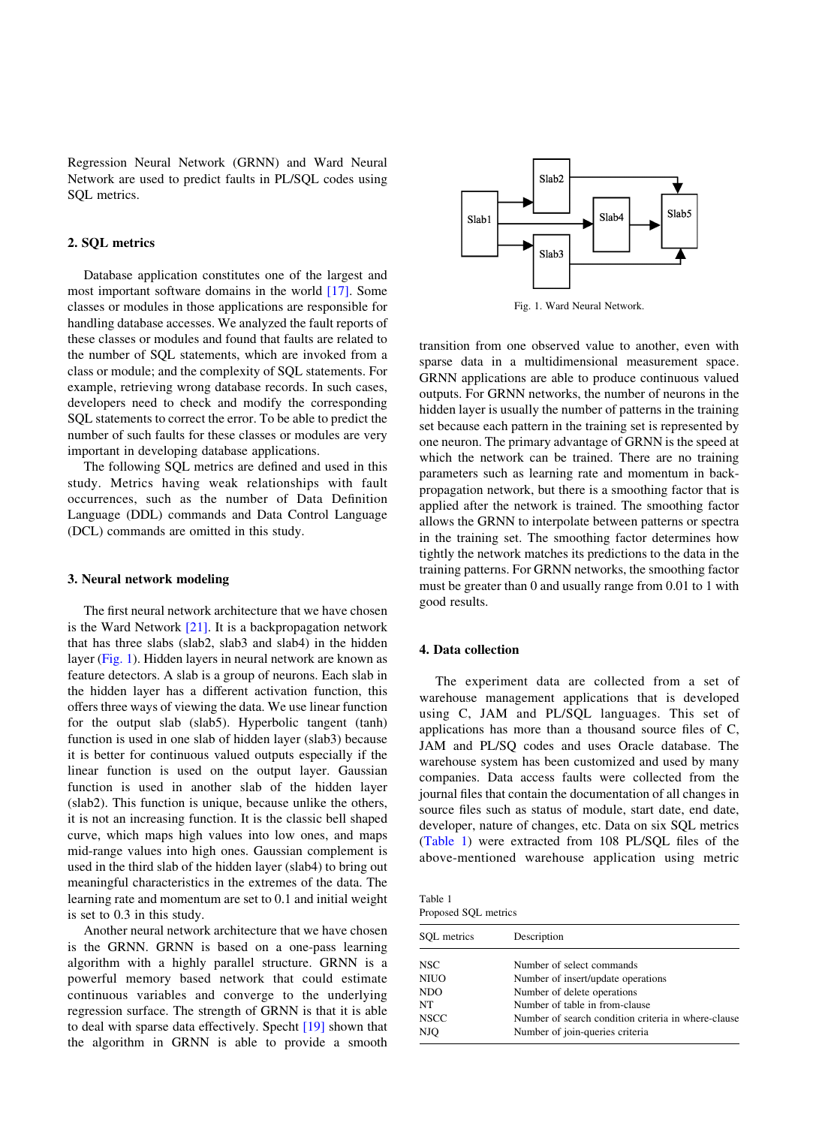Regression Neural Network (GRNN) and Ward Neural Network are used to predict faults in PL/SQL codes using SQL metrics.

# 2. SQL metrics

Database application constitutes one of the largest and most important software domains in the world [\[17\]](#page-4-0). Some classes or modules in those applications are responsible for handling database accesses. We analyzed the fault reports of these classes or modules and found that faults are related to the number of SQL statements, which are invoked from a class or module; and the complexity of SQL statements. For example, retrieving wrong database records. In such cases, developers need to check and modify the corresponding SQL statements to correct the error. To be able to predict the number of such faults for these classes or modules are very important in developing database applications.

The following SQL metrics are defined and used in this study. Metrics having weak relationships with fault occurrences, such as the number of Data Definition Language (DDL) commands and Data Control Language (DCL) commands are omitted in this study.

## 3. Neural network modeling

The first neural network architecture that we have chosen is the Ward Network  $[21]$ . It is a backpropagation network that has three slabs (slab2, slab3 and slab4) in the hidden layer (Fig. 1). Hidden layers in neural network are known as feature detectors. A slab is a group of neurons. Each slab in the hidden layer has a different activation function, this offers three ways of viewing the data. We use linear function for the output slab (slab5). Hyperbolic tangent (tanh) function is used in one slab of hidden layer (slab3) because it is better for continuous valued outputs especially if the linear function is used on the output layer. Gaussian function is used in another slab of the hidden layer (slab2). This function is unique, because unlike the others, it is not an increasing function. It is the classic bell shaped curve, which maps high values into low ones, and maps mid-range values into high ones. Gaussian complement is used in the third slab of the hidden layer (slab4) to bring out meaningful characteristics in the extremes of the data. The learning rate and momentum are set to 0.1 and initial weight is set to 0.3 in this study.

Another neural network architecture that we have chosen is the GRNN. GRNN is based on a one-pass learning algorithm with a highly parallel structure. GRNN is a powerful memory based network that could estimate continuous variables and converge to the underlying regression surface. The strength of GRNN is that it is able to deal with sparse data effectively. Specht [\[19\]](#page-4-0) shown that the algorithm in GRNN is able to provide a smooth



Fig. 1. Ward Neural Network.

transition from one observed value to another, even with sparse data in a multidimensional measurement space. GRNN applications are able to produce continuous valued outputs. For GRNN networks, the number of neurons in the hidden layer is usually the number of patterns in the training set because each pattern in the training set is represented by one neuron. The primary advantage of GRNN is the speed at which the network can be trained. There are no training parameters such as learning rate and momentum in backpropagation network, but there is a smoothing factor that is applied after the network is trained. The smoothing factor allows the GRNN to interpolate between patterns or spectra in the training set. The smoothing factor determines how tightly the network matches its predictions to the data in the training patterns. For GRNN networks, the smoothing factor must be greater than 0 and usually range from 0.01 to 1 with good results.

# 4. Data collection

The experiment data are collected from a set of warehouse management applications that is developed using C, JAM and PL/SQL languages. This set of applications has more than a thousand source files of C, JAM and PL/SQ codes and uses Oracle database. The warehouse system has been customized and used by many companies. Data access faults were collected from the journal files that contain the documentation of all changes in source files such as status of module, start date, end date, developer, nature of changes, etc. Data on six SQL metrics (Table 1) were extracted from 108 PL/SQL files of the above-mentioned warehouse application using metric

| Table 1              |  |
|----------------------|--|
| Proposed SQL metrics |  |

| SOL metrics | Description                                         |
|-------------|-----------------------------------------------------|
| <b>NSC</b>  | Number of select commands                           |
| <b>NIUO</b> | Number of insert/update operations                  |
| NDO         | Number of delete operations                         |
| NT          | Number of table in from-clause                      |
| <b>NSCC</b> | Number of search condition criteria in where-clause |
| NJQ         | Number of join-queries criteria                     |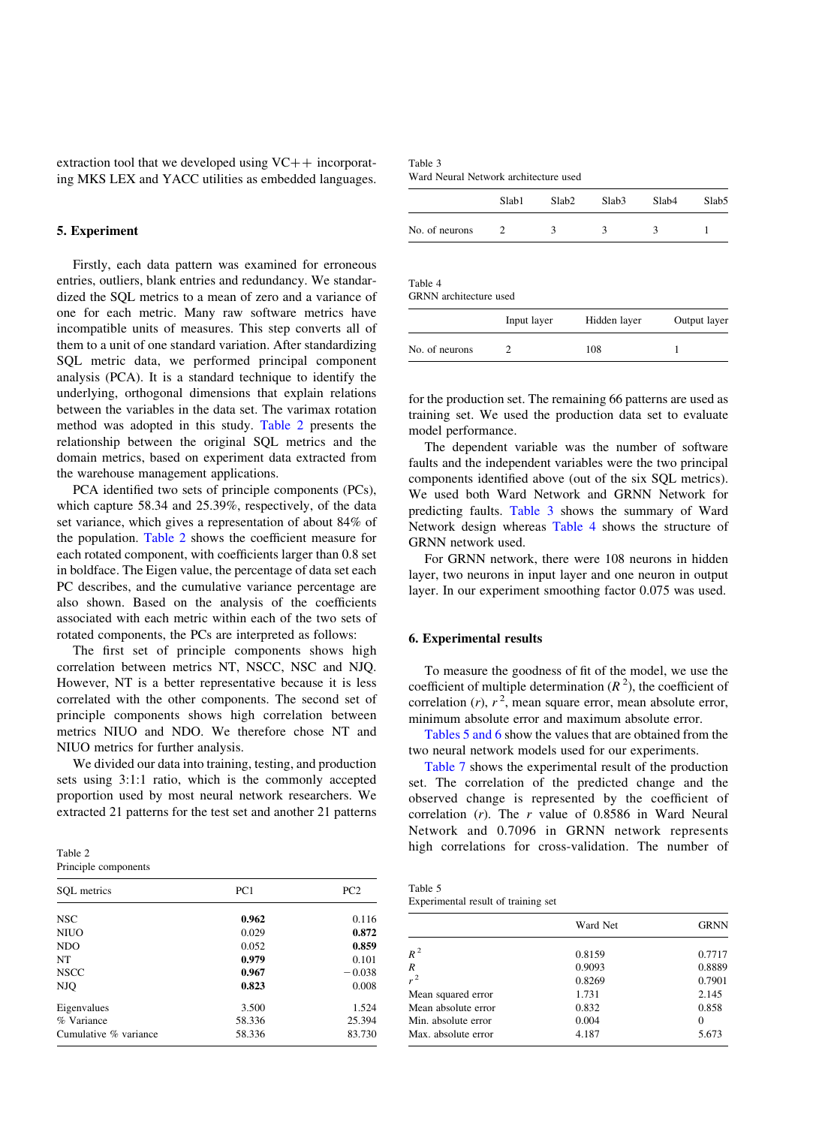extraction tool that we developed using  $VC++$  incorporating MKS LEX and YACC utilities as embedded languages.

# 5. Experiment

Firstly, each data pattern was examined for erroneous entries, outliers, blank entries and redundancy. We standardized the SQL metrics to a mean of zero and a variance of one for each metric. Many raw software metrics have incompatible units of measures. This step converts all of them to a unit of one standard variation. After standardizing SQL metric data, we performed principal component analysis (PCA). It is a standard technique to identify the underlying, orthogonal dimensions that explain relations between the variables in the data set. The varimax rotation method was adopted in this study. Table 2 presents the relationship between the original SQL metrics and the domain metrics, based on experiment data extracted from the warehouse management applications.

PCA identified two sets of principle components (PCs), which capture 58.34 and 25.39%, respectively, of the data set variance, which gives a representation of about 84% of the population. Table 2 shows the coefficient measure for each rotated component, with coefficients larger than 0.8 set in boldface. The Eigen value, the percentage of data set each PC describes, and the cumulative variance percentage are also shown. Based on the analysis of the coefficients associated with each metric within each of the two sets of rotated components, the PCs are interpreted as follows:

The first set of principle components shows high correlation between metrics NT, NSCC, NSC and NJQ. However, NT is a better representative because it is less correlated with the other components. The second set of principle components shows high correlation between metrics NIUO and NDO. We therefore chose NT and NIUO metrics for further analysis.

We divided our data into training, testing, and production sets using 3:1:1 ratio, which is the commonly accepted proportion used by most neural network researchers. We extracted 21 patterns for the test set and another 21 patterns

| Table 2 |                      |
|---------|----------------------|
|         | Principle components |

| SOL metrics           | PC1    | PC2      |
|-----------------------|--------|----------|
| <b>NSC</b>            | 0.962  | 0.116    |
| <b>NIUO</b>           | 0.029  | 0.872    |
| NDO                   | 0.052  | 0.859    |
| NT                    | 0.979  | 0.101    |
| <b>NSCC</b>           | 0.967  | $-0.038$ |
| NJO                   | 0.823  | 0.008    |
| Eigenvalues           | 3.500  | 1.524    |
| % Variance            | 58.336 | 25.394   |
| Cumulative % variance | 58.336 | 83.730   |

| Table 3                               |
|---------------------------------------|
| Ward Neural Network architecture used |

| No. of neurons<br>2                      | 3           | 3            | 3 |              |
|------------------------------------------|-------------|--------------|---|--------------|
|                                          |             |              |   |              |
|                                          |             |              |   |              |
| Table 4<br><b>GRNN</b> architecture used |             |              |   |              |
|                                          | Input layer | Hidden layer |   | Output layer |

for the production set. The remaining 66 patterns are used as training set. We used the production data set to evaluate model performance.

The dependent variable was the number of software faults and the independent variables were the two principal components identified above (out of the six SQL metrics). We used both Ward Network and GRNN Network for predicting faults. Table 3 shows the summary of Ward Network design whereas Table 4 shows the structure of GRNN network used.

For GRNN network, there were 108 neurons in hidden layer, two neurons in input layer and one neuron in output layer. In our experiment smoothing factor 0.075 was used.

## 6. Experimental results

To measure the goodness of fit of the model, we use the coefficient of multiple determination  $(R^2)$ , the coefficient of correlation  $(r)$ ,  $r^2$ , mean square error, mean absolute error, minimum absolute error and maximum absolute error.

Tables 5 and 6 show the values that are obtained from the two neural network models used for our experiments.

[Table](#page-3-0) 7 shows the experimental result of the production set. The correlation of the predicted change and the observed change is represented by the coefficient of correlation  $(r)$ . The r value of 0.8586 in Ward Neural Network and 0.7096 in GRNN network represents high correlations for cross-validation. The number of

| Table 5                             |  |  |
|-------------------------------------|--|--|
| Experimental result of training set |  |  |

|                     | Ward Net | <b>GRNN</b> |
|---------------------|----------|-------------|
| $R^2$               | 0.8159   | 0.7717      |
| R                   | 0.9093   | 0.8889      |
| $r^2$               | 0.8269   | 0.7901      |
| Mean squared error  | 1.731    | 2.145       |
| Mean absolute error | 0.832    | 0.858       |
| Min. absolute error | 0.004    | $\Omega$    |
| Max. absolute error | 4.187    | 5.673       |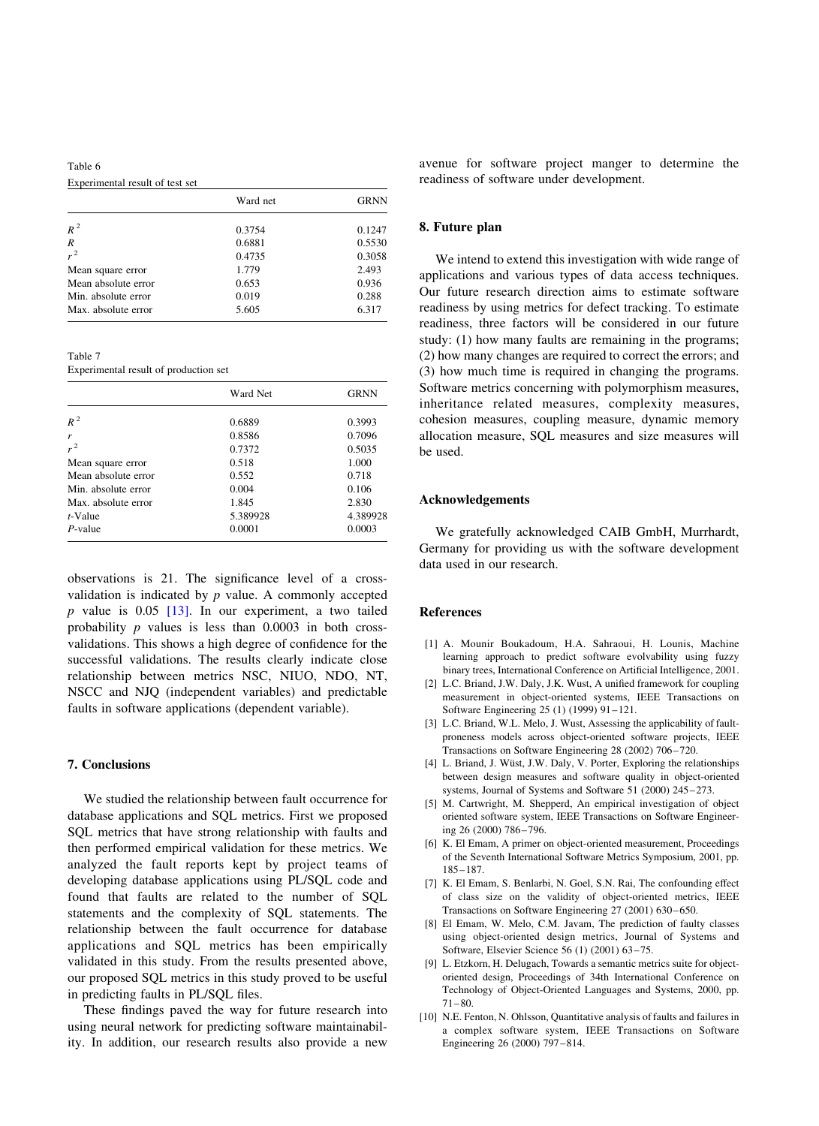<span id="page-3-0"></span>Table 6 Experimental result of test set

|                     | Ward net | <b>GRNN</b> |
|---------------------|----------|-------------|
| $R^2$               | 0.3754   | 0.1247      |
| $\overline{R}$      | 0.6881   | 0.5530      |
| $r^2$               | 0.4735   | 0.3058      |
| Mean square error   | 1.779    | 2.493       |
| Mean absolute error | 0.653    | 0.936       |
| Min. absolute error | 0.019    | 0.288       |
| Max. absolute error | 5.605    | 6.317       |

Table 7

Experimental result of production set

|                     | Ward Net | <b>GRNN</b> |
|---------------------|----------|-------------|
|                     |          |             |
| $R^2$               | 0.6889   | 0.3993      |
| r                   | 0.8586   | 0.7096      |
| $r^2$               | 0.7372   | 0.5035      |
| Mean square error   | 0.518    | 1.000       |
| Mean absolute error | 0.552    | 0.718       |
| Min. absolute error | 0.004    | 0.106       |
| Max. absolute error | 1.845    | 2.830       |
| t-Value             | 5.389928 | 4.389928    |
| $P$ -value          | 0.0001   | 0.0003      |

observations is 21. The significance level of a crossvalidation is indicated by  $p$  value. A commonly accepted  $p$  value is 0.05 [\[13\]](#page-4-0). In our experiment, a two tailed probability  $p$  values is less than 0.0003 in both crossvalidations. This shows a high degree of confidence for the successful validations. The results clearly indicate close relationship between metrics NSC, NIUO, NDO, NT, NSCC and NJQ (independent variables) and predictable faults in software applications (dependent variable).

### 7. Conclusions

We studied the relationship between fault occurrence for database applications and SQL metrics. First we proposed SQL metrics that have strong relationship with faults and then performed empirical validation for these metrics. We analyzed the fault reports kept by project teams of developing database applications using PL/SQL code and found that faults are related to the number of SQL statements and the complexity of SQL statements. The relationship between the fault occurrence for database applications and SQL metrics has been empirically validated in this study. From the results presented above, our proposed SQL metrics in this study proved to be useful in predicting faults in PL/SQL files.

These findings paved the way for future research into using neural network for predicting software maintainability. In addition, our research results also provide a new

avenue for software project manger to determine the readiness of software under development.

# 8. Future plan

We intend to extend this investigation with wide range of applications and various types of data access techniques. Our future research direction aims to estimate software readiness by using metrics for defect tracking. To estimate readiness, three factors will be considered in our future study: (1) how many faults are remaining in the programs; (2) how many changes are required to correct the errors; and (3) how much time is required in changing the programs. Software metrics concerning with polymorphism measures, inheritance related measures, complexity measures, cohesion measures, coupling measure, dynamic memory allocation measure, SQL measures and size measures will be used.

## Acknowledgements

We gratefully acknowledged CAIB GmbH, Murrhardt, Germany for providing us with the software development data used in our research.

# References

- [1] A. Mounir Boukadoum, H.A. Sahraoui, H. Lounis, Machine learning approach to predict software evolvability using fuzzy binary trees, International Conference on Artificial Intelligence, 2001.
- [2] L.C. Briand, J.W. Daly, J.K. Wust, A unified framework for coupling measurement in object-oriented systems, IEEE Transactions on Software Engineering 25 (1) (1999) 91–121.
- [3] L.C. Briand, W.L. Melo, J. Wust, Assessing the applicability of faultproneness models across object-oriented software projects, IEEE Transactions on Software Engineering 28 (2002) 706–720.
- [4] L. Briand, J. Wüst, J.W. Daly, V. Porter, Exploring the relationships between design measures and software quality in object-oriented systems, Journal of Systems and Software 51 (2000) 245–273.
- [5] M. Cartwright, M. Shepperd, An empirical investigation of object oriented software system, IEEE Transactions on Software Engineering 26 (2000) 786–796.
- [6] K. El Emam, A primer on object-oriented measurement, Proceedings of the Seventh International Software Metrics Symposium, 2001, pp. 185–187.
- [7] K. El Emam, S. Benlarbi, N. Goel, S.N. Rai, The confounding effect of class size on the validity of object-oriented metrics, IEEE Transactions on Software Engineering 27 (2001) 630–650.
- [8] El Emam, W. Melo, C.M. Javam, The prediction of faulty classes using object-oriented design metrics, Journal of Systems and Software, Elsevier Science 56 (1) (2001) 63–75.
- [9] L. Etzkorn, H. Delugach, Towards a semantic metrics suite for objectoriented design, Proceedings of 34th International Conference on Technology of Object-Oriented Languages and Systems, 2000, pp. 71–80.
- [10] N.E. Fenton, N. Ohlsson, Quantitative analysis of faults and failures in a complex software system, IEEE Transactions on Software Engineering 26 (2000) 797–814.